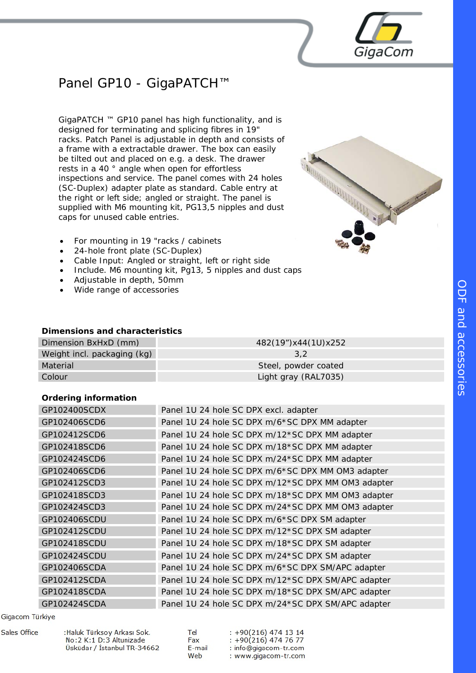# Panel GP10 - GigaPATCH™

GigaPATCH ™ GP10 panel has high functionality, and is designed for terminating and splicing fibres in 19" racks. Patch Panel is adjustable in depth and consists of a frame with a extractable drawer. The box can easily be tilted out and placed on e.g. a desk. The drawer rests in a 40 ° angle when open for effortless inspections and service. The panel comes with 24 holes (SC-Duplex) adapter plate as standard. Cable entry at the right or left side; angled or straight. The panel is supplied with M6 mounting kit, PG13,5 nipples and dust caps for unused cable entries.



GigaCom

- For mounting in 19 "racks / cabinets
- 24-hole front plate (SC-Duplex)
- Cable Input: Angled or straight, left or right side
- Include. M6 mounting kit, Pg13, 5 nipples and dust caps
- Adjustable in depth, 50mm
- Wide range of accessories

## **Dimensions and characteristics**

| Dimension BxHxD (mm)        | 482(19")x44(1U)x252  |
|-----------------------------|----------------------|
| Weight incl. packaging (kg) | 3.2                  |
| Material                    | Steel, powder coated |
| Colour <sub></sub>          | Light gray (RAL7035) |

## **Ordering information**

| GP102400SCDX | Panel 1U 24 hole SC DPX excl. adapter              |
|--------------|----------------------------------------------------|
| GP102406SCD6 | Panel 1U 24 hole SC DPX m/6*SC DPX MM adapter      |
| GP102412SCD6 | Panel 1U 24 hole SC DPX m/12*SC DPX MM adapter     |
| GP102418SCD6 | Panel 1U 24 hole SC DPX m/18*SC DPX MM adapter     |
| GP102424SCD6 | Panel 1U 24 hole SC DPX m/24*SC DPX MM adapter     |
| GP102406SCD6 | Panel 1U 24 hole SC DPX m/6*SC DPX MM OM3 adapter  |
| GP102412SCD3 | Panel 1U 24 hole SC DPX m/12*SC DPX MM OM3 adapter |
| GP102418SCD3 | Panel 1U 24 hole SC DPX m/18*SC DPX MM OM3 adapter |
| GP102424SCD3 | Panel 1U 24 hole SC DPX m/24*SC DPX MM OM3 adapter |
| GP102406SCDU | Panel 1U 24 hole SC DPX m/6*SC DPX SM adapter      |
| GP102412SCDU | Panel 1U 24 hole SC DPX m/12*SC DPX SM adapter     |
| GP102418SCDU | Panel 1U 24 hole SC DPX m/18*SC DPX SM adapter     |
| GP102424SCDU | Panel 1U 24 hole SC DPX m/24*SC DPX SM adapter     |
| GP102406SCDA | Panel 1U 24 hole SC DPX m/6*SC DPX SM/APC adapter  |
| GP102412SCDA | Panel 1U 24 hole SC DPX m/12*SC DPX SM/APC adapter |
| GP102418SCDA | Panel 1U 24 hole SC DPX m/18*SC DPX SM/APC adapter |
| GP102424SCDA | Panel 1U 24 hole SC DPX m/24*SC DPX SM/APC adapter |

#### Gigacom Türkiye

**Sales Office** 

:Haluk Türksoy Arkası Sok. No:2 K:1 D:3 Altunizade Üsküdar / İstanbul TR-34662 Tel Fax F-mail Web

 $: +90(216)$  474 13 14  $: +90(216)$  474 76 77 : info@gigacom-tr.com : www.gigacom-tr.com  $\bigcap$